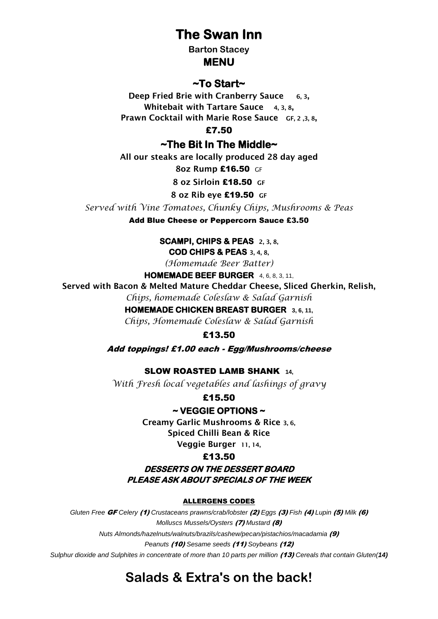# **The Swan Inn**

**Barton Stacey**

#### **MENU**

### **~To Start~**

**Deep Fried Brie with Cranberry Sauce 6, 3, Whitebait with Tartare Sauce 4, 3, 8, Prawn Cocktail with Marie Rose Sauce GF, 2 ,3, 8,**

£7.50

**~The Bit In The Middle~** 

**All our steaks are locally produced 28 day aged** 

**8oz Rump** £16.50GF

**8 oz Sirloin** £18.50 **GF**

#### **8 oz Rib eye** £19.50 **GF**

*Served with Vine Tomatoes, Chunky Chips, Mushrooms & Peas*

Add Blue Cheese or Peppercorn Sauce £3.50

**SCAMPI, CHIPS & PEAS 2, 3, 8,** 

**COD CHIPS & PEAS 3, 4, 8,**

*(Homemade Beer Batter)*

**HOMEMADE BEEF BURGER** 4, 6, 8, 3, 11,

**Served with Bacon & Melted Mature Cheddar Cheese, Sliced Gherkin, Relish,**  *Chips, homemade Coleslaw & Salad Garnish*

#### **HOMEMADE CHICKEN BREAST BURGER 3, 6, 11,**

*Chips, Homemade Coleslaw & Salad Garnish*

£13.50

Add toppings! £1.00 each - Egg/Mushrooms/cheese

#### SLOW ROASTED LAMB SHANK **14,**

*With Fresh local vegetables and lashings of gravy*

£15.50

#### **~ VEGGIE OPTIONS ~**

**Creamy Garlic Mushrooms & Rice 3, 6, Spiced Chilli Bean & Rice**

**Veggie Burger 11, 14,**

#### £13.50

**DESSERTS ON THE DESSERT BOARD PLEASE ASK ABOUT SPECIALS OF THE WEEK** 

#### ALLERGENS CODES

*Gluten Free* GF *Celery* (1) *Crustaceans prawns/crab/lobster* (2) *Eggs* (3) *Fish* (4) *Lupin* (5) *Milk* (6) *Molluscs Mussels/Oysters* (7) *Mustard* (8) *Nuts Almonds/hazelnuts/walnuts/brazils/cashew/pecan/pistachios/macadamia* (9) *Peanuts* (10) *Sesame seeds* (11) *Soybeans* (12) *Sulphur dioxide and Sulphites in concentrate of more than 10 parts per million (13) Cereals that contain Gluten(14)* 

# **Salads & Extra's on the back!**